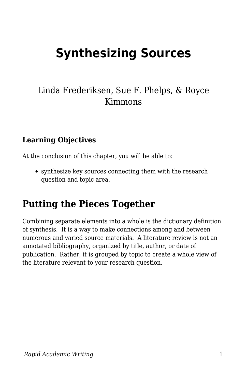# **Synthesizing Sources**

### Linda Frederiksen, Sue F. Phelps, & Royce Kimmons

### **Learning Objectives**

At the conclusion of this chapter, you will be able to:

synthesize key sources connecting them with the research question and topic area.

# **Putting the Pieces Together**

Combining separate elements into a whole is the dictionary definition of synthesis. It is a way to make connections among and between numerous and varied source materials. A literature review is not an annotated bibliography, organized by title, author, or date of publication. Rather, it is grouped by topic to create a whole view of the literature relevant to your research question.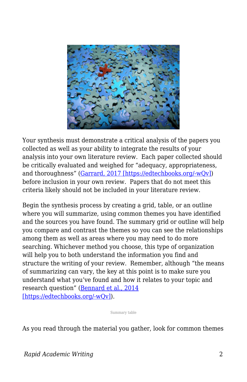

Your synthesis must demonstrate a critical analysis of the papers you collected as well as your ability to integrate the results of your analysis into your own literature review. Each paper collected should be critically evaluated and weighed for "adequacy, appropriateness, and thoroughness" ([Garrard, 2017 \[https://edtechbooks.org/-wQv\]\)](https://edtechbooks.org/rapidwriting/lit_rev_conclusion/#ref7) before inclusion in your own review. Papers that do not meet this criteria likely should not be included in your literature review.

Begin the synthesis process by creating a grid, table, or an outline where you will summarize, using common themes you have identified and the sources you have found. The summary grid or outline will help you compare and contrast the themes so you can see the relationships among them as well as areas where you may need to do more searching. Whichever method you choose, this type of organization will help you to both understand the information you find and structure the writing of your review. Remember, although "the means of summarizing can vary, the key at this point is to make sure you understand what you've found and how it relates to your topic and research question" [\(Bennard et al., 2014](https://edtechbooks.org/rapidwriting/lit_rev_conclusion/#ref7) [\[https://edtechbooks.org/-wQv\]\)](https://edtechbooks.org/rapidwriting/lit_rev_conclusion/#ref7).

Summary table

As you read through the material you gather, look for common themes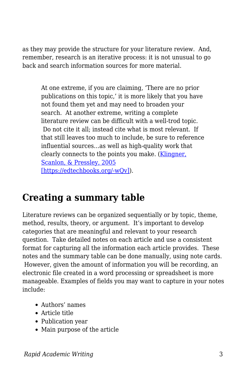as they may provide the structure for your literature review. And, remember, research is an iterative process: it is not unusual to go back and search information sources for more material.

At one extreme, if you are claiming, 'There are no prior publications on this topic,' it is more likely that you have not found them yet and may need to broaden your search. At another extreme, writing a complete literature review can be difficult with a well-trod topic. Do not cite it all; instead cite what is most relevant. If that still leaves too much to include, be sure to reference influential sources…as well as high-quality work that clearly connects to the points you make. ([Klingner,](https://edtechbooks.org/rapidwriting/lit_rev_conclusion/#ref7) [Scanlon, & Pressley, 2005](https://edtechbooks.org/rapidwriting/lit_rev_conclusion/#ref7) [\[https://edtechbooks.org/-wQv\]\)](https://edtechbooks.org/rapidwriting/lit_rev_conclusion/#ref7).

# **Creating a summary table**

Literature reviews can be organized sequentially or by topic, theme, method, results, theory, or argument. It's important to develop categories that are meaningful and relevant to your research question. Take detailed notes on each article and use a consistent format for capturing all the information each article provides. These notes and the summary table can be done manually, using note cards. However, given the amount of information you will be recording, an electronic file created in a word processing or spreadsheet is more manageable. Examples of fields you may want to capture in your notes include:

- Authors' names
- Article title
- Publication year
- Main purpose of the article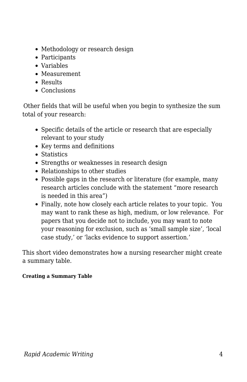- Methodology or research design
- Participants
- Variables
- Measurement
- Results
- Conclusions

Other fields that will be useful when you begin to synthesize the sum total of your research:

- Specific details of the article or research that are especially relevant to your study
- Key terms and definitions
- Statistics
- Strengths or weaknesses in research design
- Relationships to other studies
- Possible gaps in the research or literature (for example, many research articles conclude with the statement "more research is needed in this area")
- Finally, note how closely each article relates to your topic. You may want to rank these as high, medium, or low relevance. For papers that you decide not to include, you may want to note your reasoning for exclusion, such as 'small sample size', 'local case study,' or 'lacks evidence to support assertion.'

This short video demonstrates how a nursing researcher might create a summary table.

#### **Creating a Summary Table**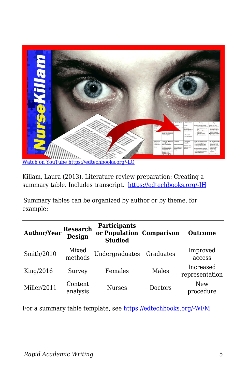

Killam, Laura (2013). Literature review preparation: Creating a summary table. Includes transcript. [https://edtechbooks.org/-IH](https://www.youtube.com/watch?v=nX2R9FzYhT0)

Summary tables can be organized by author or by theme, for example:

| <b>Author/Year</b> | <b>Research</b><br><b>Design</b> | <b>Participants</b><br>or Population Comparison<br><b>Studied</b> |                | <b>Outcome</b>              |
|--------------------|----------------------------------|-------------------------------------------------------------------|----------------|-----------------------------|
| Smith/2010         | Mixed<br>methods                 | Undergraduates                                                    | Graduates      | Improved<br>access          |
| King/2016          | Survey                           | Females                                                           | Males          | Increased<br>representation |
| Miller/2011        | Content<br>analysis              | <b>Nurses</b>                                                     | <b>Doctors</b> | New<br>procedure            |

For a summary table template, see [https://edtechbooks.org/-WFM](http://blogs.monm.edu/writingatmc/files/2013/04/Synthesis-Matrix-Template.pdf)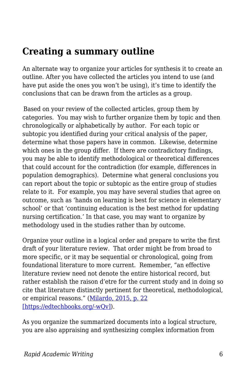# **Creating a summary outline**

An alternate way to organize your articles for synthesis it to create an outline. After you have collected the articles you intend to use (and have put aside the ones you won't be using), it's time to identify the conclusions that can be drawn from the articles as a group.

Based on your review of the collected articles, group them by categories. You may wish to further organize them by topic and then chronologically or alphabetically by author. For each topic or subtopic you identified during your critical analysis of the paper, determine what those papers have in common. Likewise, determine which ones in the group differ. If there are contradictory findings, you may be able to identify methodological or theoretical differences that could account for the contradiction (for example, differences in population demographics). Determine what general conclusions you can report about the topic or subtopic as the entire group of studies relate to it. For example, you may have several studies that agree on outcome, such as 'hands on learning is best for science in elementary school' or that 'continuing education is the best method for updating nursing certification.' In that case, you may want to organize by methodology used in the studies rather than by outcome.

Organize your outline in a logical order and prepare to write the first draft of your literature review. That order might be from broad to more specific, or it may be sequential or chronological, going from foundational literature to more current. Remember, "an effective literature review need not denote the entire historical record, but rather establish the raison d'etre for the current study and in doing so cite that literature distinctly pertinent for theoretical, methodological, or empirical reasons." ([Milardo, 2015, p. 22](https://edtechbooks.org/rapidwriting/lit_rev_conclusion/#ref7) [\[https://edtechbooks.org/-wQv\]\)](https://edtechbooks.org/rapidwriting/lit_rev_conclusion/#ref7).

As you organize the summarized documents into a logical structure, you are also appraising and synthesizing complex information from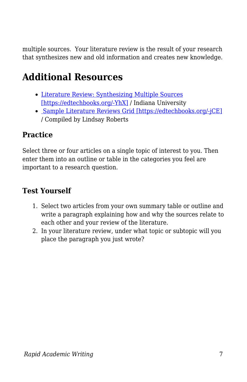multiple sources. Your literature review is the result of your research that synthesizes new and old information and creates new knowledge.

# **Additional Resources**

- [Literature Review: Synthesizing Multiple Sources](http://liberalarts.iupui.edu/uwc/files/documents/Lit_Review_Synthesis.pdf) [\[https://edtechbooks.org/-YhX\]](http://liberalarts.iupui.edu/uwc/files/documents/Lit_Review_Synthesis.pdf) / Indiana University
- [Sample Literature Reviews Grid \[https://edtechbooks.org/-jCE\]](https://docs.google.com/spreadsheets/d/11tXg0IYjR6kZk-Uf5Eq2pFfVSrd3lxsWOhoEqht8BZ4/edit?usp=sharing) / Compiled by Lindsay Roberts

### **Practice**

Select three or four articles on a single topic of interest to you. Then enter them into an outline or table in the categories you feel are important to a research question.

### **Test Yourself**

- 1. Select two articles from your own summary table or outline and write a paragraph explaining how and why the sources relate to each other and your review of the literature.
- 2. In your literature review, under what topic or subtopic will you place the paragraph you just wrote?